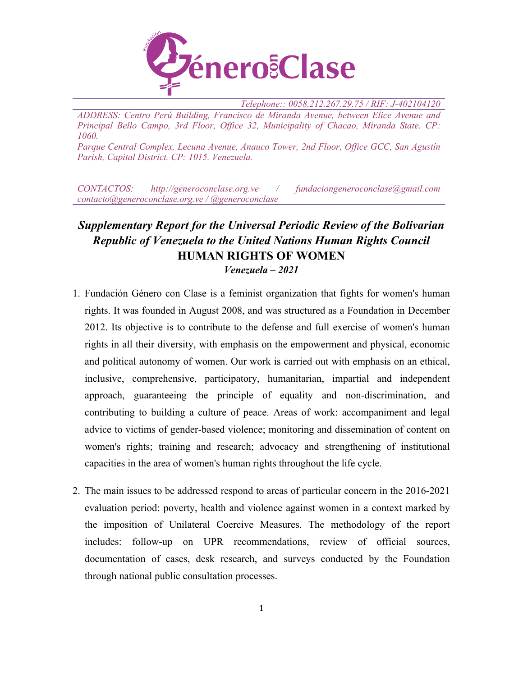

*Telephone:: 0058.212.267.29.75 / RIF: J-402104120*

*ADDRESS: Centro Perú Building, Francisco de Miranda Avenue, between Elice Avenue and Principal Bello Campo, 3rd Floor, Office 32, Municipality of Chacao, Miranda State. CP: 1060.*

*Parque Central Complex, Lecuna Avenue, Anauco Tower, 2nd Floor, Office GCC, San Agustín Parish, Capital District. CP: 1015. Venezuela.*

*CONTACTOS: http://generoconclase.org.ve / fundaciongeneroconclase@gmail.com contacto@generoconclase.org.ve / @generoconclase*

# *Supplementary Report for the Universal Periodic Review of the Bolivarian Republic of Venezuela to the United Nations Human Rights Council* **HUMAN RIGHTS OF WOMEN** *Venezuela – 2021*

- 1. Fundación Género con Clase is <sup>a</sup> feminist organization that fights for women's human rights. It was founded in August 2008, and was structured as <sup>a</sup> Foundation in December 2012. Its objective is to contribute to the defense and full exercise of women's human rights in all their diversity, with emphasis on the empowermen<sup>t</sup> and physical, economic and political autonomy of women. Our work is carried out with emphasis on an ethical, inclusive, comprehensive, participatory, humanitarian, impartial and independent approach, guaranteeing the principle of equality and non-discrimination, and contributing to building <sup>a</sup> culture of peace. Areas of work: accompaniment and legal advice to victims of gender-based violence; monitoring and dissemination of content on women's rights; training and research; advocacy and strengthening of institutional capacities in the area of women's human rights throughout the life cycle.
- 2. The main issues to be addressed respond to areas of particular concern in the 2016-2021 evaluation period: poverty, health and violence against women in <sup>a</sup> context marked by the imposition of Unilateral Coercive Measures. The methodology of the repor<sup>t</sup> includes: follow-up on UPR recommendations, review of official sources, documentation of cases, desk research, and surveys conducted by the Foundation through national public consultation processes.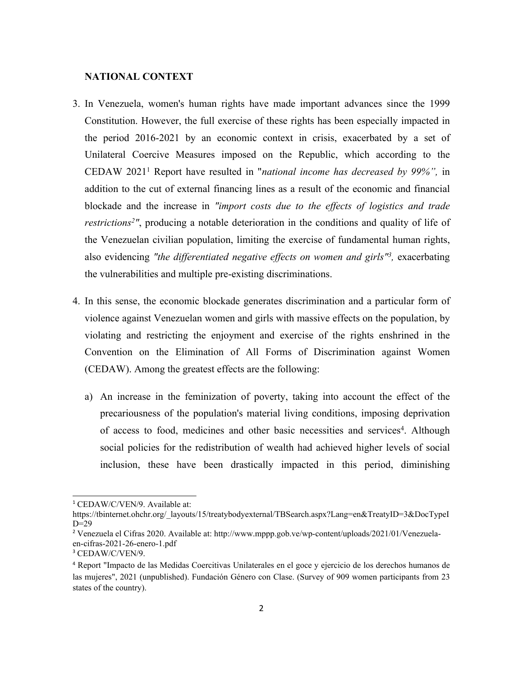## **NATIONAL CONTEXT**

- 3. In Venezuela, women's human rights have made important advances since the 1999 Constitution. However, the full exercise of these rights has been especially impacted in the period 2016-2021 by an economic context in crisis, exacerbated by <sup>a</sup> set of Unilateral Coercive Measures imposed on the Republic, which according to the CEDAW 2021<sup>1</sup> Report have resulted in "*national income has decreased by 99%",* in addition to the cut of external financing lines as <sup>a</sup> result of the economic and financial blockade and the increase in *"import costs due to the effects of logistics and trade restrictions 2 "*, producing <sup>a</sup> notable deterioration in the conditions and quality of life of the Venezuelan civilian population, limiting the exercise of fundamental human rights, also evidencing *"the differentiated negative effects on women and girls" 3 ,* exacerbating the vulnerabilities and multiple pre-existing discriminations.
- 4. In this sense, the economic blockade generates discrimination and <sup>a</sup> particular form of violence against Venezuelan women and girls with massive effects on the population, by violating and restricting the enjoyment and exercise of the rights enshrined in the Convention on the Elimination of All Forms of Discrimination against Women (CEDAW). Among the greatest effects are the following:
	- a) An increase in the feminization of poverty, taking into account the effect of the precariousness of the population's material living conditions, imposing deprivation of access to food, medicines and other basic necessities and services 4 . Although social policies for the redistribution of wealth had achieved higher levels of social inclusion, these have been drastically impacted in this period, diminishing

<sup>&</sup>lt;sup>1</sup> CEDAW/C/VEN/9. Available at:

https://tbinternet.ohchr.org/\_layouts/15/treatybodyexternal/TBSearch.aspx?Lang=en&TreatyID=3&DocTypeI  $D=29$ 

<sup>2</sup> Venezuela el Cifras 2020. Available at: http://www.mppp.gob.ve/wp-content/uploads/2021/01/Venezuelaen-cifras-2021-26-enero-1.pdf

<sup>3</sup> CEDAW/C/VEN/9.

<sup>4</sup> Report "Impacto de las Medidas Coercitivas Unilaterales en el goce y ejercicio de los derechos humanos de las mujeres", 2021 (unpublished). Fundación Género con Clase. (Survey of 909 women participants from 23 states of the country).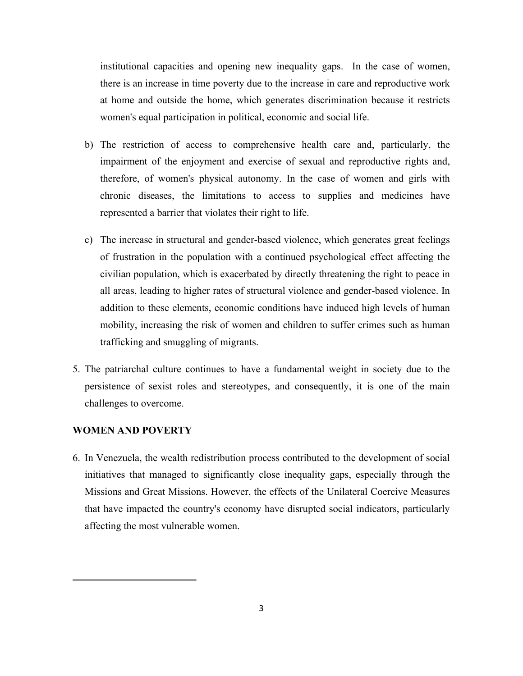institutional capacities and opening new inequality gaps. In the case of women, there is an increase in time poverty due to the increase in care and reproductive work at home and outside the home, which generates discrimination because it restricts women's equal participation in political, economic and social life.

- b) The restriction of access to comprehensive health care and, particularly, the impairment of the enjoyment and exercise of sexual and reproductive rights and, therefore, of women's physical autonomy. In the case of women and girls with chronic diseases, the limitations to access to supplies and medicines have represented <sup>a</sup> barrier that violates their right to life.
- c) The increase in structural and gender-based violence, which generates grea<sup>t</sup> feelings of frustration in the population with <sup>a</sup> continued psychological effect affecting the civilian population, which is exacerbated by directly threatening the right to peace in all areas, leading to higher rates of structural violence and gender-based violence. In addition to these elements, economic conditions have induced high levels of human mobility, increasing the risk of women and children to suffer crimes such as human trafficking and smuggling of migrants.
- 5. The patriarchal culture continues to have <sup>a</sup> fundamental weight in society due to the persistence of sexist roles and stereotypes, and consequently, it is one of the main challenges to overcome.

# **WOMEN AND POVERTY**

6. In Venezuela, the wealth redistribution process contributed to the development of social initiatives that managed to significantly close inequality gaps, especially through the Missions and Great Missions. However, the effects of the Unilateral Coercive Measures that have impacted the country's economy have disrupted social indicators, particularly affecting the most vulnerable women.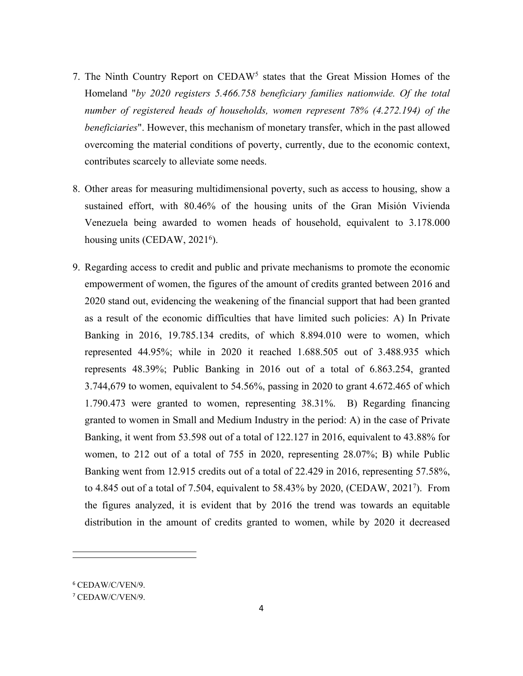- 7. The Ninth Country Report on CEDAW<sup>5</sup> states that the Great Mission Homes of the Homeland "*by 2020 registers 5.466.758 beneficiary families nationwide. Of the total number of registered heads of households, women represen<sup>t</sup> 78% (4.272.194) of the beneficiaries*". However, this mechanism of monetary transfer, which in the pas<sup>t</sup> allowed overcoming the material conditions of poverty, currently, due to the economic context, contributes scarcely to alleviate some needs.
- 8. Other areas for measuring multidimensional poverty, such as access to housing, show <sup>a</sup> sustained effort, with 80.46% of the housing units of the Gran Misión Vivienda Venezuela being awarded to women heads of household, equivalent to 3.178.000 housing units (CEDAW, 2021<sup>6</sup>).
- 9. Regarding access to credit and public and private mechanisms to promote the economic empowermen<sup>t</sup> of women, the figures of the amount of credits granted between 2016 and 2020 stand out, evidencing the weakening of the financial suppor<sup>t</sup> that had been granted as <sup>a</sup> result of the economic difficulties that have limited such policies: A) In Private Banking in 2016, 19.785.134 credits, of which 8.894.010 were to women, which represented 44.95%; while in 2020 it reached 1.688.505 out of 3.488.935 which represents 48.39%; Public Banking in 2016 out of <sup>a</sup> total of 6.863.254, granted 3.744,679 to women, equivalent to 54.56%, passing in 2020 to gran<sup>t</sup> 4.672.465 of which 1.790.473 were granted to women, representing 38.31%. B) Regarding financing granted to women in Small and Medium Industry in the period: A) in the case of Private Banking, it went from 53.598 out of <sup>a</sup> total of 122.127 in 2016, equivalent to 43.88% for women, to 212 out of <sup>a</sup> total of 755 in 2020, representing 28.07%; B) while Public Banking went from 12.915 credits out of <sup>a</sup> total of 22.429 in 2016, representing 57.58%, to 4.845 out of <sup>a</sup> total of 7.504, equivalent to 58.43% by 2020, (CEDAW, 2021<sup>7</sup> ). From the figures analyzed, it is evident that by 2016 the trend was towards an equitable distribution in the amount of credits granted to women, while by 2020 it decreased

<sup>6</sup> CEDAW/C/VEN/9.

<sup>7</sup> CEDAW/C/VEN/9.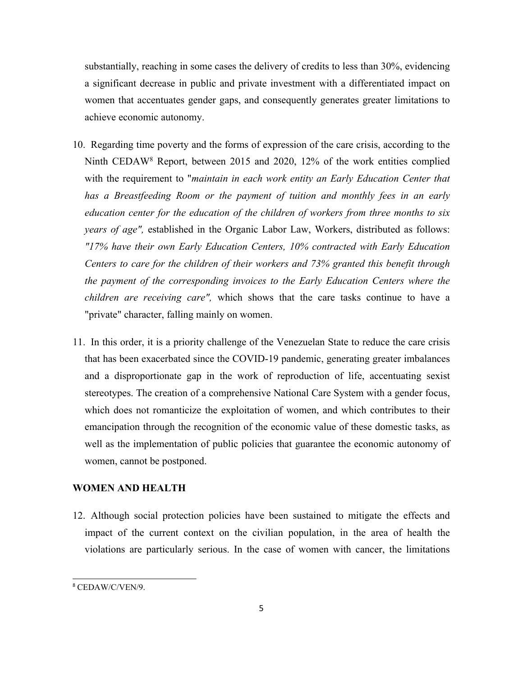substantially, reaching in some cases the delivery of credits to less than 30%, evidencing <sup>a</sup> significant decrease in public and private investment with <sup>a</sup> differentiated impact on women that accentuates gender gaps, and consequently generates greater limitations to achieve economic autonomy.

- 10. Regarding time poverty and the forms of expression of the care crisis, according to the Ninth CEDAW<sup>8</sup> Report, between 2015 and 2020, 12% of the work entities complied with the requirement to "*maintain in each work entity an Early Education Center that has <sup>a</sup> Breastfeeding Room or the paymen<sup>t</sup> of tuition and monthly fees in an early education center for the education of the children of workers from three months to six years of age",* established in the Organic Labor Law, Workers, distributed as follows: *"17% have their own Early Education Centers, 10% contracted with Early Education Centers to care for the children of their workers and 73% granted this benefit through the paymen<sup>t</sup> of the corresponding invoices to the Early Education Centers where the children are receiving care",* which shows that the care tasks continue to have <sup>a</sup> "private" character, falling mainly on women.
- 11. In this order, it is <sup>a</sup> priority challenge of the Venezuelan State to reduce the care crisis that has been exacerbated since the COVID-19 pandemic, generating greater imbalances and <sup>a</sup> disproportionate gap in the work of reproduction of life, accentuating sexist stereotypes. The creation of <sup>a</sup> comprehensive National Care System with <sup>a</sup> gender focus, which does not romanticize the exploitation of women, and which contributes to their emancipation through the recognition of the economic value of these domestic tasks, as well as the implementation of public policies that guarantee the economic autonomy of women, cannot be postponed.

# **WOMEN AND HEALTH**

12. Although social protection policies have been sustained to mitigate the effects and impact of the current context on the civilian population, in the area of health the violations are particularly serious. In the case of women with cancer, the limitations

<sup>8</sup> CEDAW/C/VEN/9.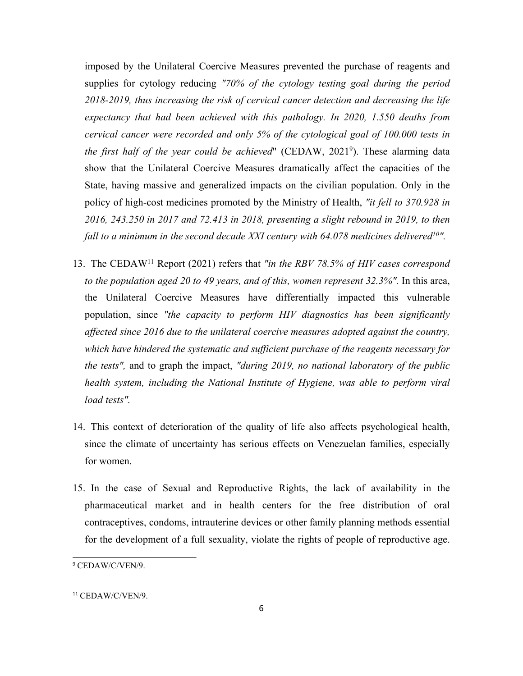imposed by the Unilateral Coercive Measures prevented the purchase of reagents and supplies for cytology reducing *"70% of the cytology testing goal during the period 2018-2019, thus increasing the risk of cervical cancer detection and decreasing the life expectancy that had been achieved with this pathology. In 2020, 1.550 deaths from cervical cancer were recorded and only 5% of the cytological goal of 100.000 tests in the first half of the year could be achieved*" (CEDAW, 2021<sup>9</sup> ). These alarming data show that the Unilateral Coercive Measures dramatically affect the capacities of the State, having massive and generalized impacts on the civilian population. Only in the policy of high-cost medicines promoted by the Ministry of Health, *"it fell to 370.928 in 2016, 243.250 in 2017 and 72.413 in 2018, presenting <sup>a</sup> slight rebound in 2019, to then fall to <sup>a</sup> minimum in the second decade XXI century with 64.078 medicines delivered<sup>10</sup> ".*

- 13. The CEDAW<sup>11</sup> Report (2021) refers that *"in the RBV 78.5% of HIV cases correspond to the population aged 20 to 49 years, and of this, women represen<sup>t</sup> 32.3%".* In this area, the Unilateral Coercive Measures have differentially impacted this vulnerable population, since *"the capacity to perform HIV diagnostics has been significantly affected since 2016 due to the unilateral coercive measures adopted against the country, which have hindered the systematic and sufficient purchase of the reagents necessary for the tests",* and to graph the impact, *"during 2019, no national laboratory of the public health system, including the National Institute of Hygiene, was able to perform viral load tests".*
- 14. This context of deterioration of the quality of life also affects psychological health, since the climate of uncertainty has serious effects on Venezuelan families, especially for women.
- 15. In the case of Sexual and Reproductive Rights, the lack of availability in the pharmaceutical market and in health centers for the free distribution of oral contraceptives, condoms, intrauterine devices or other family planning methods essential for the development of <sup>a</sup> full sexuality, violate the rights of people of reproductive age.

<sup>9</sup> CEDAW/C/VEN/9.

<sup>11</sup> CEDAW/C/VEN/9.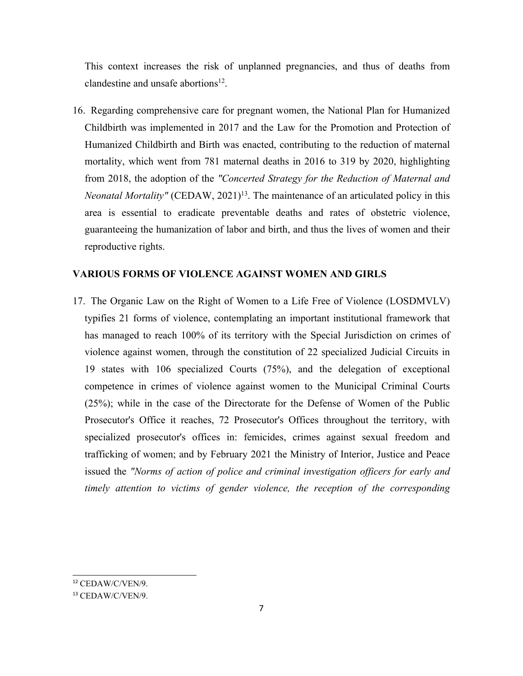This context increases the risk of unplanned pregnancies, and thus of deaths from clandestine and unsafe abortions $^{12}$ .

16. Regarding comprehensive care for pregnan<sup>t</sup> women, the National Plan for Humanized Childbirth was implemented in 2017 and the Law for the Promotion and Protection of Humanized Childbirth and Birth was enacted, contributing to the reduction of maternal mortality, which went from 781 maternal deaths in 2016 to 319 by 2020, highlighting from 2018, the adoption of the *"Concerted Strategy for the Reduction of Maternal and Neonatal Mortality"* (CEDAW, 2021) 13 . The maintenance of an articulated policy in this area is essential to eradicate preventable deaths and rates of obstetric violence, guaranteeing the humanization of labor and birth, and thus the lives of women and their reproductive rights.

## **VARIOUS FORMS OF VIOLENCE AGAINST WOMEN AND GIRLS**

17. The Organic Law on the Right of Women to <sup>a</sup> Life Free of Violence (LOSDMVLV) typifies 21 forms of violence, contemplating an important institutional framework that has managed to reach 100% of its territory with the Special Jurisdiction on crimes of violence against women, through the constitution of 22 specialized Judicial Circuits in 19 states with 106 specialized Courts (75%), and the delegation of exceptional competence in crimes of violence against women to the Municipal Criminal Courts (25%); while in the case of the Directorate for the Defense of Women of the Public Prosecutor's Office it reaches, 72 Prosecutor's Offices throughout the territory, with specialized prosecutor's offices in: femicides, crimes against sexual freedom and trafficking of women; and by February 2021 the Ministry of Interior, Justice and Peace issued the *"Norms of action of police and criminal investigation officers for early and timely attention to victims of gender violence, the reception of the corresponding*

<sup>12</sup> CEDAW/C/VEN/9.

<sup>13</sup> CEDAW/C/VEN/9.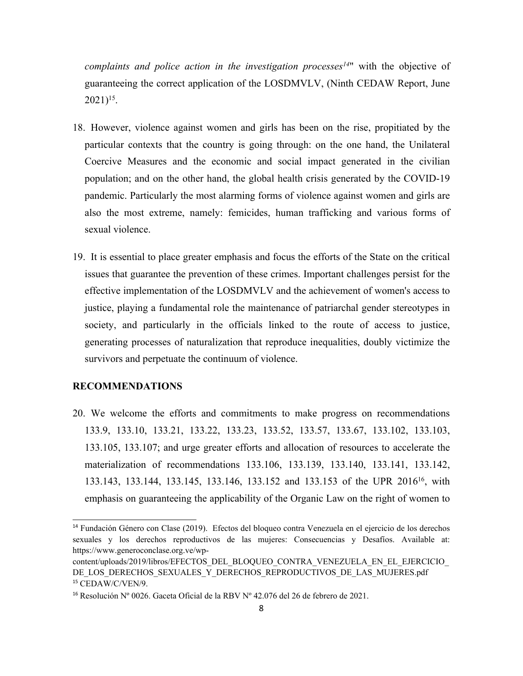*complaints and police action in the investigation processes 14* " with the objective of guaranteeing the correct application of the LOSDMVLV, (Ninth CEDAW Report, June 2021) 15 .

- 18. However, violence against women and girls has been on the rise, propitiated by the particular contexts that the country is going through: on the one hand, the Unilateral Coercive Measures and the economic and social impact generated in the civilian population; and on the other hand, the global health crisis generated by the COVID-19 pandemic. Particularly the most alarming forms of violence against women and girls are also the most extreme, namely: femicides, human trafficking and various forms of sexual violence.
- 19. It is essential to place greater emphasis and focus the efforts of the State on the critical issues that guarantee the prevention of these crimes. Important challenges persist for the effective implementation of the LOSDMVLV and the achievement of women's access to justice, playing a fundamental role the maintenance of patriarchal gender stereotypes in society, and particularly in the officials linked to the route of access to justice, generating processes of naturalization that reproduce inequalities, doubly victimize the survivors and perpetuate the continuum of violence.

## **RECOMMENDATIONS**

20. We welcome the efforts and commitments to make progress on recommendations 133.9, 133.10, 133.21, 133.22, 133.23, 133.52, 133.57, 133.67, 133.102, 133.103, 133.105, 133.107; and urge greater efforts and allocation of resources to accelerate the materialization of recommendations 133.106, 133.139, 133.140, 133.141, 133.142, 133.143, 133.144, 133.145, 133.146, 133.152 and 133.153 of the UPR 2016<sup>16</sup>, with emphasis on guaranteeing the applicability of the Organic Law on the right of women to

<sup>14</sup> Fundación Género con Clase (2019). Efectos del bloqueo contra Venezuela en el ejercicio de los derechos sexuales y los derechos reproductivos de las mujeres: Consecuencias y Desafíos. Available at: https://www.generoconclase.org.ve/wp-

content/uploads/2019/libros/EFECTOS\_DEL\_BLOQUEO\_CONTRA\_VENEZUELA\_EN\_EL\_EJERCICIO\_ DE\_LOS\_DERECHOS\_SEXUALES\_Y\_DERECHOS\_REPRODUCTIVOS\_DE\_LAS\_MUJERES.pdf 15 CEDAW/C/VEN/9.

<sup>&</sup>lt;sup>16</sup> Resolución Nº 0026. Gaceta Oficial de la RBV Nº 42.076 del 26 de febrero de 2021.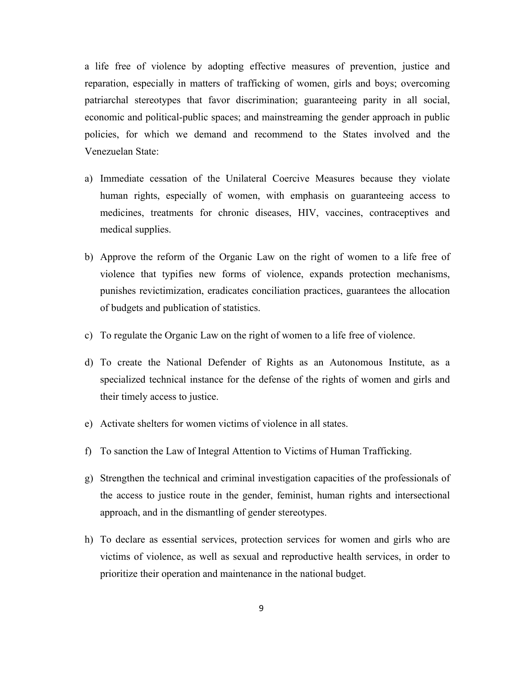<sup>a</sup> life free of violence by adopting effective measures of prevention, justice and reparation, especially in matters of trafficking of women, girls and boys; overcoming patriarchal stereotypes that favor discrimination; guaranteeing parity in all social, economic and political-public spaces; and mainstreaming the gender approach in public policies, for which we demand and recommend to the States involved and the Venezuelan State:

- a) Immediate cessation of the Unilateral Coercive Measures because they violate human rights, especially of women, with emphasis on guaranteeing access to medicines, treatments for chronic diseases, HIV, vaccines, contraceptives and medical supplies.
- b) Approve the reform of the Organic Law on the right of women to <sup>a</sup> life free of violence that typifies new forms of violence, expands protection mechanisms, punishes revictimization, eradicates conciliation practices, guarantees the allocation of budgets and publication of statistics.
- c) To regulate the Organic Law on the right of women to <sup>a</sup> life free of violence.
- d) To create the National Defender of Rights as an Autonomous Institute, as <sup>a</sup> specialized technical instance for the defense of the rights of women and girls and their timely access to justice.
- e) Activate shelters for women victims of violence in all states.
- f) To sanction the Law of Integral Attention to Victims of Human Trafficking.
- g) Strengthen the technical and criminal investigation capacities of the professionals of the access to justice route in the gender, feminist, human rights and intersectional approach, and in the dismantling of gender stereotypes.
- h) To declare as essential services, protection services for women and girls who are victims of violence, as well as sexual and reproductive health services, in order to prioritize their operation and maintenance in the national budget.